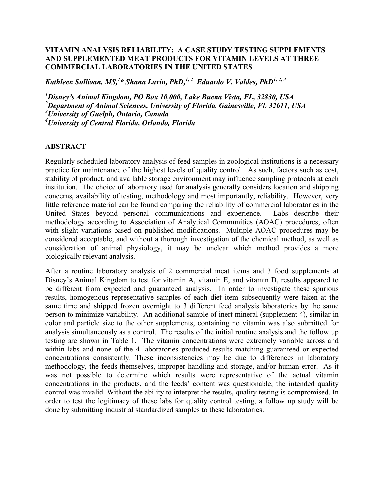## **VITAMIN ANALYSIS RELIABILITY: A CASE STUDY TESTING SUPPLEMENTS AND SUPPLEMENTED MEAT PRODUCTS FOR VITAMIN LEVELS AT THREE COMMERCIAL LABORATORIES IN THE UNITED STATES**

*Kathleen Sullivan, MS, 1 \* Shana Lavin, PhD, 1, 2 Eduardo V. Valdes, PhD1, 2, 3*

 *Disney's Animal Kingdom, PO Box 10,000, Lake Buena Vista, FL, 32830, USA Department of Animal Sciences, University of Florida, Gainesville, FL 32611, USA University of Guelph, Ontario, Canada University of Central Florida, Orlando, Florida* 

## **ABSTRACT**

Regularly scheduled laboratory analysis of feed samples in zoological institutions is a necessary practice for maintenance of the highest levels of quality control. As such, factors such as cost, stability of product, and available storage environment may influence sampling protocols at each institution. The choice of laboratory used for analysis generally considers location and shipping concerns, availability of testing, methodology and most importantly, reliability. However, very little reference material can be found comparing the reliability of commercial laboratories in the United States beyond personal communications and experience. Labs describe their methodology according to Association of Analytical Communities (AOAC) procedures, often with slight variations based on published modifications. Multiple AOAC procedures may be considered acceptable, and without a thorough investigation of the chemical method, as well as consideration of animal physiology, it may be unclear which method provides a more biologically relevant analysis.

After a routine laboratory analysis of 2 commercial meat items and 3 food supplements at Disney's Animal Kingdom to test for vitamin A, vitamin E, and vitamin D, results appeared to be different from expected and guaranteed analysis. In order to investigate these spurious results, homogenous representative samples of each diet item subsequently were taken at the same time and shipped frozen overnight to 3 different feed analysis laboratories by the same person to minimize variability. An additional sample of inert mineral (supplement 4), similar in color and particle size to the other supplements, containing no vitamin was also submitted for analysis simultaneously as a control. The results of the initial routine analysis and the follow up testing are shown in Table 1. The vitamin concentrations were extremely variable across and within labs and none of the 4 laboratories produced results matching guaranteed or expected concentrations consistently. These inconsistencies may be due to differences in laboratory methodology, the feeds themselves, improper handling and storage, and/or human error. As it was not possible to determine which results were representative of the actual vitamin concentrations in the products, and the feeds' content was questionable, the intended quality control was invalid. Without the ability to interpret the results, quality testing is compromised. In order to test the legitimacy of these labs for quality control testing, a follow up study will be done by submitting industrial standardized samples to these laboratories.